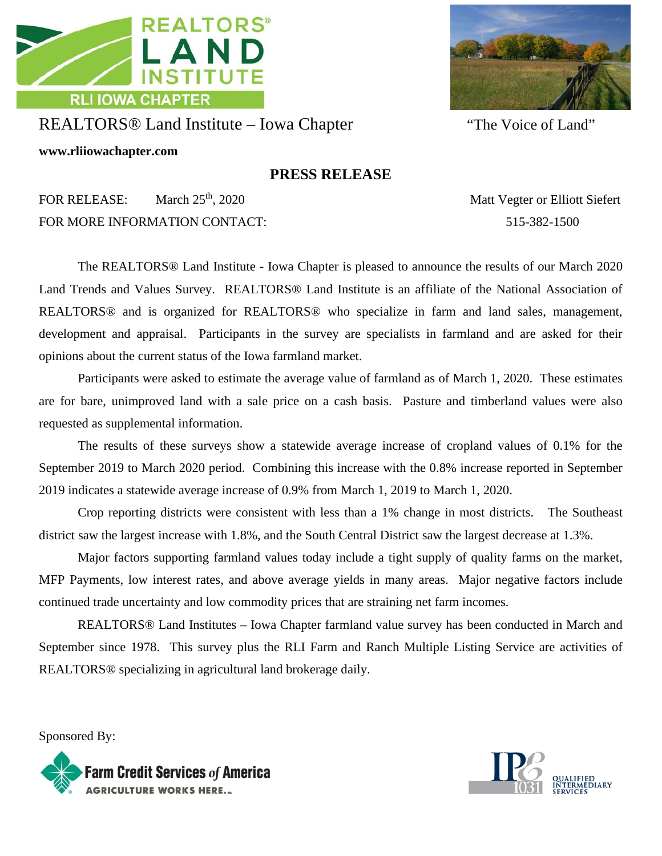



## REALTORS® Land Institute – Iowa Chapter "The Voice of Land"

**www.rliiowachapter.com**

## **PRESS RELEASE**

FOR RELEASE: March 25<sup>th</sup>, 2020 Matt Vegter or Elliott Siefert FOR MORE INFORMATION CONTACT: 515-382-1500

The REALTORS® Land Institute - Iowa Chapter is pleased to announce the results of our March 2020 Land Trends and Values Survey. REALTORS® Land Institute is an affiliate of the National Association of REALTORS® and is organized for REALTORS® who specialize in farm and land sales, management, development and appraisal. Participants in the survey are specialists in farmland and are asked for their opinions about the current status of the Iowa farmland market.

Participants were asked to estimate the average value of farmland as of March 1, 2020. These estimates are for bare, unimproved land with a sale price on a cash basis. Pasture and timberland values were also requested as supplemental information.

The results of these surveys show a statewide average increase of cropland values of 0.1% for the September 2019 to March 2020 period. Combining this increase with the 0.8% increase reported in September 2019 indicates a statewide average increase of 0.9% from March 1, 2019 to March 1, 2020.

Crop reporting districts were consistent with less than a 1% change in most districts. The Southeast district saw the largest increase with 1.8%, and the South Central District saw the largest decrease at 1.3%.

Major factors supporting farmland values today include a tight supply of quality farms on the market, MFP Payments, low interest rates, and above average yields in many areas. Major negative factors include continued trade uncertainty and low commodity prices that are straining net farm incomes.

REALTORS® Land Institutes – Iowa Chapter farmland value survey has been conducted in March and September since 1978. This survey plus the RLI Farm and Ranch Multiple Listing Service are activities of REALTORS® specializing in agricultural land brokerage daily.

Sponsored By: